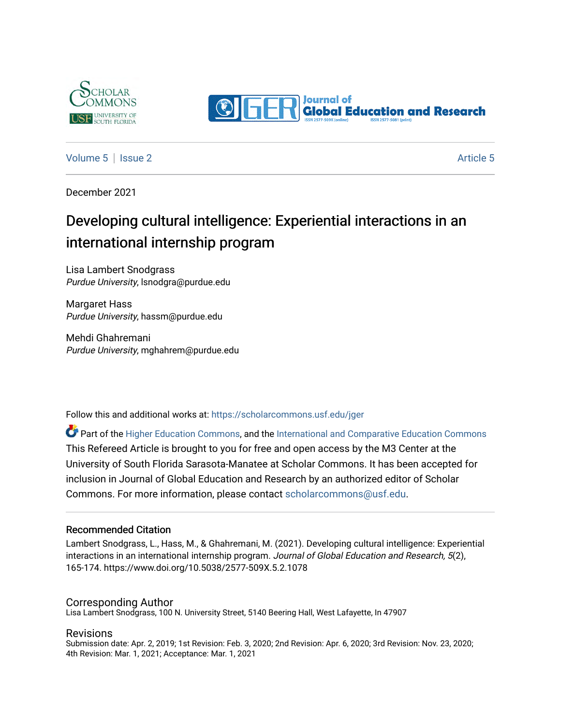



[Volume 5](https://scholarcommons.usf.edu/jger/vol5) | [Issue 2](https://scholarcommons.usf.edu/jger/vol5/iss2) Article 5

December 2021

# Developing cultural intelligence: Experiential interactions in an international internship program

Lisa Lambert Snodgrass Purdue University, lsnodgra@purdue.edu

Margaret Hass Purdue University, hassm@purdue.edu

Mehdi Ghahremani Purdue University, mghahrem@purdue.edu

Follow this and additional works at: [https://scholarcommons.usf.edu/jger](https://scholarcommons.usf.edu/jger?utm_source=scholarcommons.usf.edu%2Fjger%2Fvol5%2Fiss2%2F5&utm_medium=PDF&utm_campaign=PDFCoverPages) 

Part of the [Higher Education Commons,](http://network.bepress.com/hgg/discipline/1245?utm_source=scholarcommons.usf.edu%2Fjger%2Fvol5%2Fiss2%2F5&utm_medium=PDF&utm_campaign=PDFCoverPages) and the [International and Comparative Education Commons](http://network.bepress.com/hgg/discipline/797?utm_source=scholarcommons.usf.edu%2Fjger%2Fvol5%2Fiss2%2F5&utm_medium=PDF&utm_campaign=PDFCoverPages) This Refereed Article is brought to you for free and open access by the M3 Center at the University of South Florida Sarasota-Manatee at Scholar Commons. It has been accepted for inclusion in Journal of Global Education and Research by an authorized editor of Scholar Commons. For more information, please contact [scholarcommons@usf.edu](mailto:scholarcommons@usf.edu).

#### Recommended Citation

Lambert Snodgrass, L., Hass, M., & Ghahremani, M. (2021). Developing cultural intelligence: Experiential interactions in an international internship program. Journal of Global Education and Research, 5(2), 165-174. https://www.doi.org/10.5038/2577-509X.5.2.1078

#### Corresponding Author

Lisa Lambert Snodgrass, 100 N. University Street, 5140 Beering Hall, West Lafayette, In 47907

#### Revisions

Submission date: Apr. 2, 2019; 1st Revision: Feb. 3, 2020; 2nd Revision: Apr. 6, 2020; 3rd Revision: Nov. 23, 2020; 4th Revision: Mar. 1, 2021; Acceptance: Mar. 1, 2021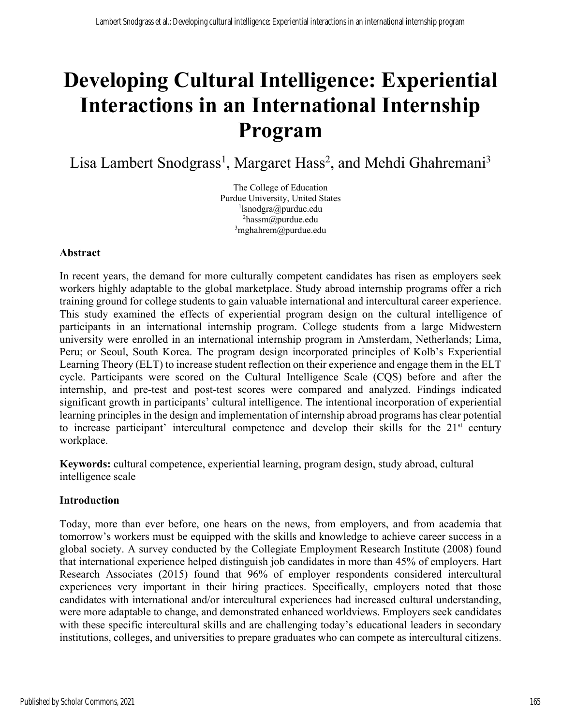# **Developing Cultural Intelligence: Experiential Interactions in an International Internship Program**

Lisa Lambert Snodgrass<sup>1</sup>, Margaret Hass<sup>2</sup>, and Mehdi Ghahremani<sup>3</sup>

The College of Education Purdue University, United States 1 lsnodgra@purdue.edu <sup>2</sup>hassm@purdue.edu <sup>3</sup>mghahrem@purdue.edu

#### **Abstract**

In recent years, the demand for more culturally competent candidates has risen as employers seek workers highly adaptable to the global marketplace. Study abroad internship programs offer a rich training ground for college students to gain valuable international and intercultural career experience. This study examined the effects of experiential program design on the cultural intelligence of participants in an international internship program. College students from a large Midwestern university were enrolled in an international internship program in Amsterdam, Netherlands; Lima, Peru; or Seoul, South Korea. The program design incorporated principles of Kolb's Experiential Learning Theory (ELT) to increase student reflection on their experience and engage them in the ELT cycle. Participants were scored on the Cultural Intelligence Scale (CQS) before and after the internship, and pre-test and post-test scores were compared and analyzed. Findings indicated significant growth in participants' cultural intelligence. The intentional incorporation of experiential learning principles in the design and implementation of internship abroad programs has clear potential to increase participant' intercultural competence and develop their skills for the  $21<sup>st</sup>$  century workplace.

**Keywords:** cultural competence, experiential learning, program design, study abroad, cultural intelligence scale

#### **Introduction**

Today, more than ever before, one hears on the news, from employers, and from academia that tomorrow's workers must be equipped with the skills and knowledge to achieve career success in a global society. A survey conducted by the Collegiate Employment Research Institute (2008) found that international experience helped distinguish job candidates in more than 45% of employers. Hart Research Associates (2015) found that 96% of employer respondents considered intercultural experiences very important in their hiring practices. Specifically, employers noted that those candidates with international and/or intercultural experiences had increased cultural understanding, were more adaptable to change, and demonstrated enhanced worldviews. Employers seek candidates with these specific intercultural skills and are challenging today's educational leaders in secondary institutions, colleges, and universities to prepare graduates who can compete as intercultural citizens.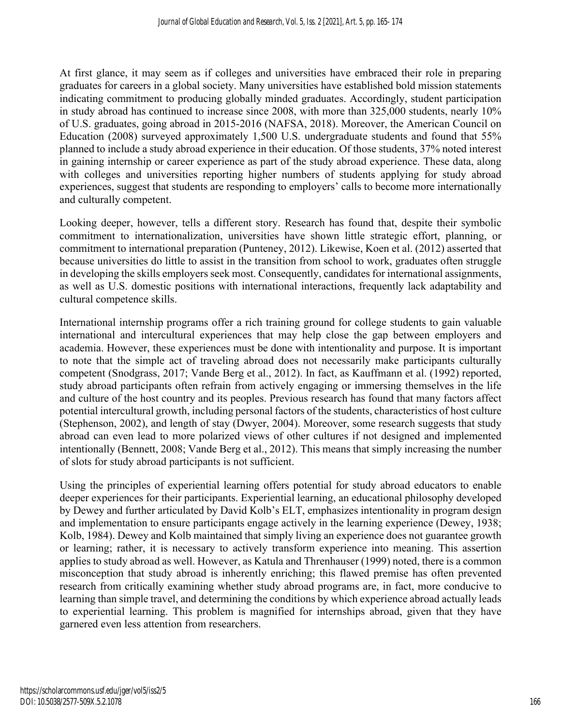At first glance, it may seem as if colleges and universities have embraced their role in preparing graduates for careers in a global society. Many universities have established bold mission statements indicating commitment to producing globally minded graduates. Accordingly, student participation in study abroad has continued to increase since 2008, with more than 325,000 students, nearly 10% of U.S. graduates, going abroad in 2015-2016 (NAFSA, 2018). Moreover, the American Council on Education (2008) surveyed approximately 1,500 U.S. undergraduate students and found that 55% planned to include a study abroad experience in their education. Of those students, 37% noted interest in gaining internship or career experience as part of the study abroad experience. These data, along with colleges and universities reporting higher numbers of students applying for study abroad experiences, suggest that students are responding to employers' calls to become more internationally and culturally competent.

Looking deeper, however, tells a different story. Research has found that, despite their symbolic commitment to internationalization, universities have shown little strategic effort, planning, or commitment to international preparation (Punteney, 2012). Likewise, Koen et al. (2012) asserted that because universities do little to assist in the transition from school to work, graduates often struggle in developing the skills employers seek most. Consequently, candidates for international assignments, as well as U.S. domestic positions with international interactions, frequently lack adaptability and cultural competence skills.

International internship programs offer a rich training ground for college students to gain valuable international and intercultural experiences that may help close the gap between employers and academia. However, these experiences must be done with intentionality and purpose. It is important to note that the simple act of traveling abroad does not necessarily make participants culturally competent (Snodgrass, 2017; Vande Berg et al., 2012). In fact, as Kauffmann et al. (1992) reported, study abroad participants often refrain from actively engaging or immersing themselves in the life and culture of the host country and its peoples. Previous research has found that many factors affect potential intercultural growth, including personal factors of the students, characteristics of host culture (Stephenson, 2002), and length of stay (Dwyer, 2004). Moreover, some research suggests that study abroad can even lead to more polarized views of other cultures if not designed and implemented intentionally (Bennett, 2008; Vande Berg et al., 2012). This means that simply increasing the number of slots for study abroad participants is not sufficient.

Using the principles of experiential learning offers potential for study abroad educators to enable deeper experiences for their participants. Experiential learning, an educational philosophy developed by Dewey and further articulated by David Kolb's ELT, emphasizes intentionality in program design and implementation to ensure participants engage actively in the learning experience (Dewey, 1938; Kolb, 1984). Dewey and Kolb maintained that simply living an experience does not guarantee growth or learning; rather, it is necessary to actively transform experience into meaning. This assertion applies to study abroad as well. However, as Katula and Threnhauser (1999) noted, there is a common misconception that study abroad is inherently enriching; this flawed premise has often prevented research from critically examining whether study abroad programs are, in fact, more conducive to learning than simple travel, and determining the conditions by which experience abroad actually leads to experiential learning. This problem is magnified for internships abroad, given that they have garnered even less attention from researchers.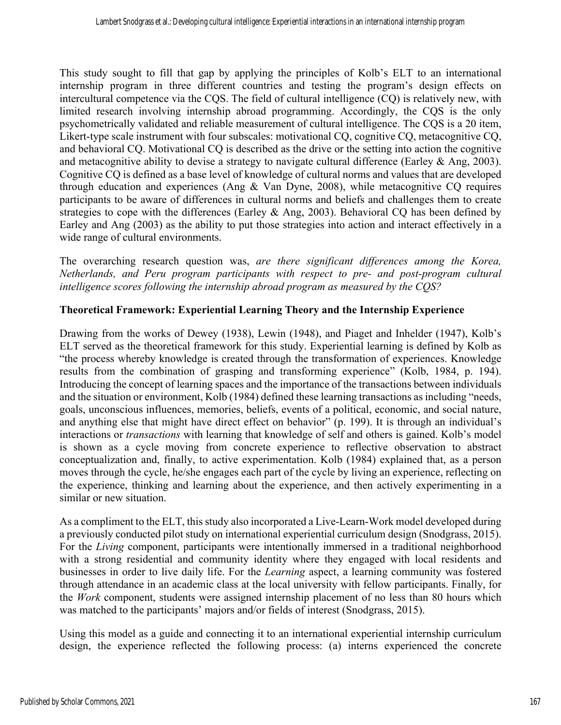This study sought to fill that gap by applying the principles of Kolb's ELT to an international internship program in three different countries and testing the program's design effects on intercultural competence via the CQS. The field of cultural intelligence (CQ) is relatively new, with limited research involving internship abroad programming. Accordingly, the CQS is the only psychometrically validated and reliable measurement of cultural intelligence. The CQS is a 20 item, Likert-type scale instrument with four subscales: motivational CQ, cognitive CQ, metacognitive CQ, and behavioral CQ. Motivational CQ is described as the drive or the setting into action the cognitive and metacognitive ability to devise a strategy to navigate cultural difference (Earley  $\&$  Ang, 2003). Cognitive CQ is defined as a base level of knowledge of cultural norms and values that are developed through education and experiences (Ang  $&$  Van Dyne, 2008), while metacognitive CO requires participants to be aware of differences in cultural norms and beliefs and challenges them to create strategies to cope with the differences (Earley  $\&$  Ang, 2003). Behavioral CQ has been defined by Earley and Ang (2003) as the ability to put those strategies into action and interact effectively in a wide range of cultural environments.

The overarching research question was, *are there significant differences among the Korea, Netherlands, and Peru program participants with respect to pre- and post-program cultural intelligence scores following the internship abroad program as measured by the CQS?*

# **Theoretical Framework: Experiential Learning Theory and the Internship Experience**

Drawing from the works of Dewey (1938), Lewin (1948), and Piaget and Inhelder (1947), Kolb's ELT served as the theoretical framework for this study. Experiential learning is defined by Kolb as "the process whereby knowledge is created through the transformation of experiences. Knowledge results from the combination of grasping and transforming experience" (Kolb, 1984, p. 194). Introducing the concept of learning spaces and the importance of the transactions between individuals and the situation or environment, Kolb (1984) defined these learning transactions as including "needs, goals, unconscious influences, memories, beliefs, events of a political, economic, and social nature, and anything else that might have direct effect on behavior" (p. 199). It is through an individual's interactions or *transactions* with learning that knowledge of self and others is gained. Kolb's model is shown as a cycle moving from concrete experience to reflective observation to abstract conceptualization and, finally, to active experimentation. Kolb (1984) explained that, as a person moves through the cycle, he/she engages each part of the cycle by living an experience, reflecting on the experience, thinking and learning about the experience, and then actively experimenting in a similar or new situation.

As a compliment to the ELT, this study also incorporated a Live-Learn-Work model developed during a previously conducted pilot study on international experiential curriculum design (Snodgrass, 2015). For the *Living* component, participants were intentionally immersed in a traditional neighborhood with a strong residential and community identity where they engaged with local residents and businesses in order to live daily life. For the *Learning* aspect, a learning community was fostered through attendance in an academic class at the local university with fellow participants. Finally, for the *Work* component, students were assigned internship placement of no less than 80 hours which was matched to the participants' majors and/or fields of interest (Snodgrass, 2015).

Using this model as a guide and connecting it to an international experiential internship curriculum design, the experience reflected the following process: (a) interns experienced the concrete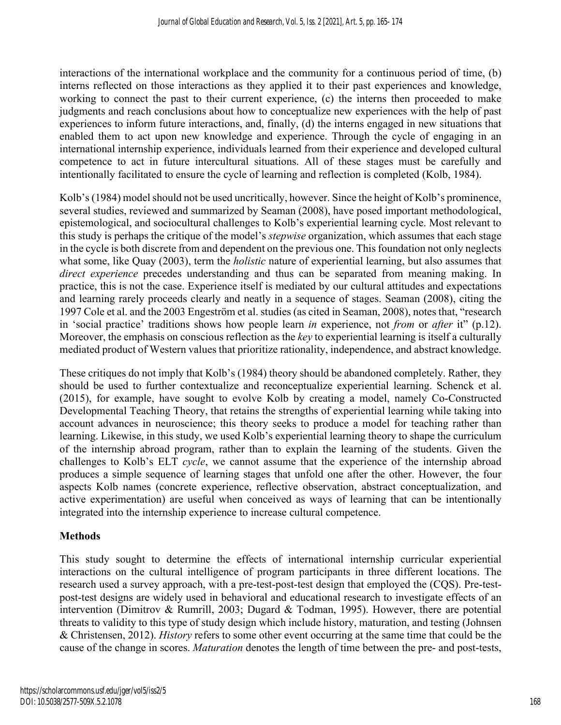interactions of the international workplace and the community for a continuous period of time, (b) interns reflected on those interactions as they applied it to their past experiences and knowledge, working to connect the past to their current experience, (c) the interns then proceeded to make judgments and reach conclusions about how to conceptualize new experiences with the help of past experiences to inform future interactions, and, finally, (d) the interns engaged in new situations that enabled them to act upon new knowledge and experience. Through the cycle of engaging in an international internship experience, individuals learned from their experience and developed cultural competence to act in future intercultural situations. All of these stages must be carefully and intentionally facilitated to ensure the cycle of learning and reflection is completed (Kolb, 1984).

Kolb's (1984) model should not be used uncritically, however. Since the height of Kolb's prominence, several studies, reviewed and summarized by Seaman (2008), have posed important methodological, epistemological, and sociocultural challenges to Kolb's experiential learning cycle. Most relevant to this study is perhaps the critique of the model's *stepwise* organization, which assumes that each stage in the cycle is both discrete from and dependent on the previous one. This foundation not only neglects what some, like Quay (2003), term the *holistic* nature of experiential learning, but also assumes that *direct experience* precedes understanding and thus can be separated from meaning making. In practice, this is not the case. Experience itself is mediated by our cultural attitudes and expectations and learning rarely proceeds clearly and neatly in a sequence of stages. Seaman (2008), citing the 1997 Cole et al. and the 2003 Engeström et al. studies (as cited in Seaman, 2008), notes that, "research in 'social practice' traditions shows how people learn *in* experience, not *from* or *after* it" (p.12). Moreover, the emphasis on conscious reflection as the *key* to experiential learning is itself a culturally mediated product of Western values that prioritize rationality, independence, and abstract knowledge.

These critiques do not imply that Kolb's (1984) theory should be abandoned completely. Rather, they should be used to further contextualize and reconceptualize experiential learning. Schenck et al. (2015), for example, have sought to evolve Kolb by creating a model, namely Co-Constructed Developmental Teaching Theory, that retains the strengths of experiential learning while taking into account advances in neuroscience; this theory seeks to produce a model for teaching rather than learning. Likewise, in this study, we used Kolb's experiential learning theory to shape the curriculum of the internship abroad program, rather than to explain the learning of the students. Given the challenges to Kolb's ELT *cycle*, we cannot assume that the experience of the internship abroad produces a simple sequence of learning stages that unfold one after the other. However, the four aspects Kolb names (concrete experience, reflective observation, abstract conceptualization, and active experimentation) are useful when conceived as ways of learning that can be intentionally integrated into the internship experience to increase cultural competence.

#### **Methods**

This study sought to determine the effects of international internship curricular experiential interactions on the cultural intelligence of program participants in three different locations. The research used a survey approach, with a pre-test-post-test design that employed the (CQS). Pre-testpost-test designs are widely used in behavioral and educational research to investigate effects of an intervention (Dimitrov & Rumrill, 2003; Dugard & Todman, 1995). However, there are potential threats to validity to this type of study design which include history, maturation, and testing (Johnsen & Christensen, 2012). *History* refers to some other event occurring at the same time that could be the cause of the change in scores. *Maturation* denotes the length of time between the pre- and post-tests,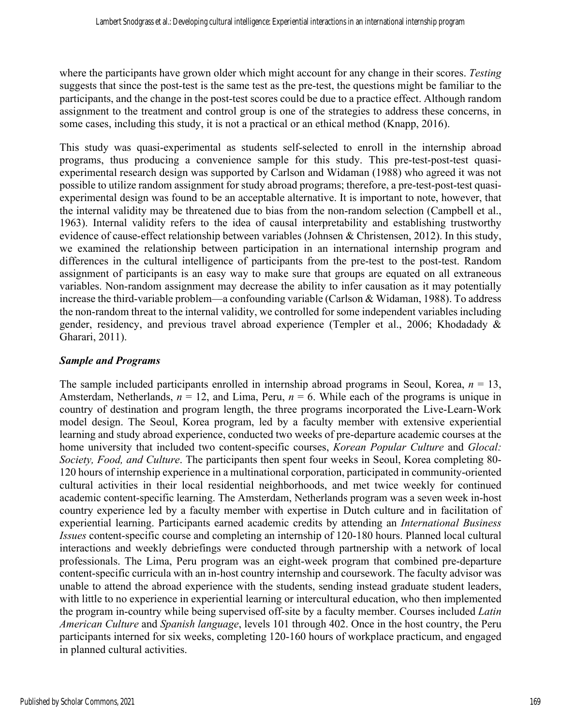where the participants have grown older which might account for any change in their scores. *Testing* suggests that since the post-test is the same test as the pre-test, the questions might be familiar to the participants, and the change in the post-test scores could be due to a practice effect. Although random assignment to the treatment and control group is one of the strategies to address these concerns, in some cases, including this study, it is not a practical or an ethical method (Knapp, 2016).

This study was quasi-experimental as students self-selected to enroll in the internship abroad programs, thus producing a convenience sample for this study. This pre-test-post-test quasiexperimental research design was supported by Carlson and Widaman (1988) who agreed it was not possible to utilize random assignment for study abroad programs; therefore, a pre-test-post-test quasiexperimental design was found to be an acceptable alternative. It is important to note, however, that the internal validity may be threatened due to bias from the non-random selection (Campbell et al., 1963). Internal validity refers to the idea of causal interpretability and establishing trustworthy evidence of cause-effect relationship between variables (Johnsen & Christensen, 2012). In this study, we examined the relationship between participation in an international internship program and differences in the cultural intelligence of participants from the pre-test to the post-test. Random assignment of participants is an easy way to make sure that groups are equated on all extraneous variables. Non-random assignment may decrease the ability to infer causation as it may potentially increase the third-variable problem—a confounding variable (Carlson & Widaman, 1988). To address the non-random threat to the internal validity, we controlled for some independent variables including gender, residency, and previous travel abroad experience (Templer et al., 2006; Khodadady & Gharari, 2011).

#### *Sample and Programs*

The sample included participants enrolled in internship abroad programs in Seoul, Korea, *n* = 13, Amsterdam, Netherlands,  $n = 12$ , and Lima, Peru,  $n = 6$ . While each of the programs is unique in country of destination and program length, the three programs incorporated the Live-Learn-Work model design. The Seoul, Korea program, led by a faculty member with extensive experiential learning and study abroad experience, conducted two weeks of pre-departure academic courses at the home university that included two content-specific courses, *Korean Popular Culture* and *Glocal: Society, Food, and Culture*. The participants then spent four weeks in Seoul, Korea completing 80- 120 hours of internship experience in a multinational corporation, participated in community-oriented cultural activities in their local residential neighborhoods, and met twice weekly for continued academic content-specific learning. The Amsterdam, Netherlands program was a seven week in-host country experience led by a faculty member with expertise in Dutch culture and in facilitation of experiential learning. Participants earned academic credits by attending an *International Business Issues* content-specific course and completing an internship of 120-180 hours. Planned local cultural interactions and weekly debriefings were conducted through partnership with a network of local professionals. The Lima, Peru program was an eight-week program that combined pre-departure content-specific curricula with an in-host country internship and coursework. The faculty advisor was unable to attend the abroad experience with the students, sending instead graduate student leaders, with little to no experience in experiential learning or intercultural education, who then implemented the program in-country while being supervised off-site by a faculty member. Courses included *Latin American Culture* and *Spanish language*, levels 101 through 402. Once in the host country, the Peru participants interned for six weeks, completing 120-160 hours of workplace practicum, and engaged in planned cultural activities.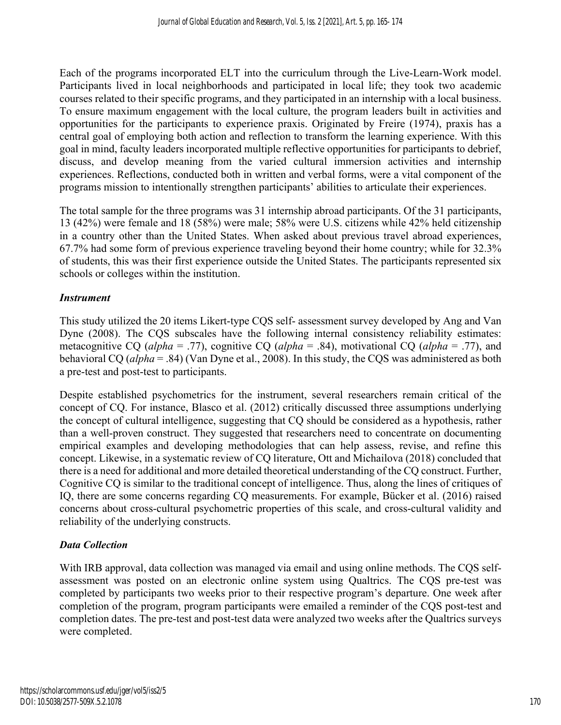Each of the programs incorporated ELT into the curriculum through the Live-Learn-Work model. Participants lived in local neighborhoods and participated in local life; they took two academic courses related to their specific programs, and they participated in an internship with a local business. To ensure maximum engagement with the local culture, the program leaders built in activities and opportunities for the participants to experience praxis. Originated by Freire (1974), praxis has a central goal of employing both action and reflection to transform the learning experience. With this goal in mind, faculty leaders incorporated multiple reflective opportunities for participants to debrief, discuss, and develop meaning from the varied cultural immersion activities and internship experiences. Reflections, conducted both in written and verbal forms, were a vital component of the programs mission to intentionally strengthen participants' abilities to articulate their experiences.

The total sample for the three programs was 31 internship abroad participants. Of the 31 participants, 13 (42%) were female and 18 (58%) were male; 58% were U.S. citizens while 42% held citizenship in a country other than the United States. When asked about previous travel abroad experiences, 67.7% had some form of previous experience traveling beyond their home country; while for 32.3% of students, this was their first experience outside the United States. The participants represented six schools or colleges within the institution.

# *Instrument*

This study utilized the 20 items Likert-type CQS self- assessment survey developed by Ang and Van Dyne (2008). The CQS subscales have the following internal consistency reliability estimates: metacognitive CQ (*alpha* = .77), cognitive CQ (*alpha* = .84), motivational CQ (*alpha* = .77), and behavioral CQ (*alpha* = .84) (Van Dyne et al., 2008). In this study, the CQS was administered as both a pre-test and post-test to participants.

Despite established psychometrics for the instrument, several researchers remain critical of the concept of CQ. For instance, Blasco et al. (2012) critically discussed three assumptions underlying the concept of cultural intelligence, suggesting that CQ should be considered as a hypothesis, rather than a well-proven construct. They suggested that researchers need to concentrate on documenting empirical examples and developing methodologies that can help assess, revise, and refine this concept. Likewise, in a systematic review of CQ literature, Ott and Michailova (2018) concluded that there is a need for additional and more detailed theoretical understanding of the CQ construct. Further, Cognitive CQ is similar to the traditional concept of intelligence. Thus, along the lines of critiques of IQ, there are some concerns regarding CQ measurements. For example, Bücker et al. (2016) raised concerns about cross-cultural psychometric properties of this scale, and cross-cultural validity and reliability of the underlying constructs.

# *Data Collection*

With IRB approval, data collection was managed via email and using online methods. The CQS selfassessment was posted on an electronic online system using Qualtrics. The CQS pre-test was completed by participants two weeks prior to their respective program's departure. One week after completion of the program, program participants were emailed a reminder of the CQS post-test and completion dates. The pre-test and post-test data were analyzed two weeks after the Qualtrics surveys were completed.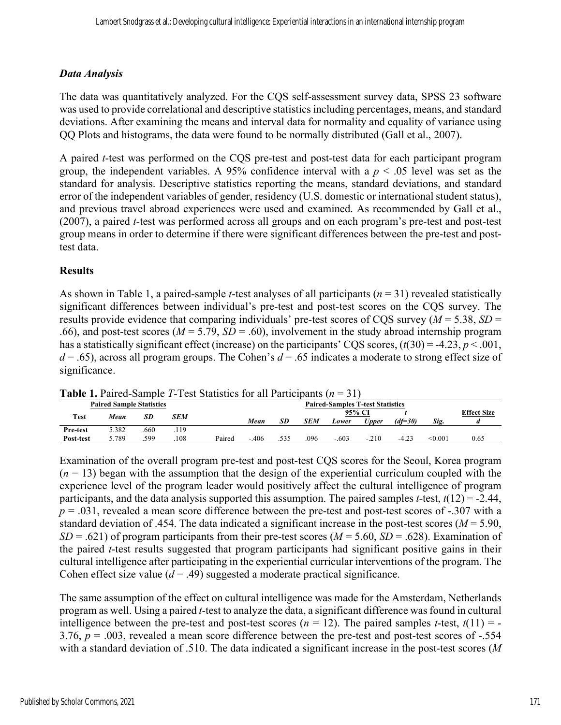#### *Data Analysis*

The data was quantitatively analyzed. For the CQS self-assessment survey data, SPSS 23 software was used to provide correlational and descriptive statistics including percentages, means, and standard deviations. After examining the means and interval data for normality and equality of variance using QQ Plots and histograms, the data were found to be normally distributed (Gall et al., 2007).

A paired *t*-test was performed on the CQS pre-test and post-test data for each participant program group, the independent variables. A 95% confidence interval with a  $p \leq 0.05$  level was set as the standard for analysis. Descriptive statistics reporting the means, standard deviations, and standard error of the independent variables of gender, residency (U.S. domestic or international student status), and previous travel abroad experiences were used and examined. As recommended by Gall et al., (2007), a paired *t*-test was performed across all groups and on each program's pre-test and post-test group means in order to determine if there were significant differences between the pre-test and posttest data.

#### **Results**

As shown in Table 1, a paired-sample *t*-test analyses of all participants (*n* = 31) revealed statistically significant differences between individual's pre-test and post-test scores on the CQS survey. The results provide evidence that comparing individuals' pre-test scores of CQS survey ( $M = 5.38$ ,  $SD =$ .66), and post-test scores ( $M = 5.79$ ,  $SD = .60$ ), involvement in the study abroad internship program has a statistically significant effect (increase) on the participants' CQS scores,  $(t(30) = -4.23, p < .001,$ *d* = .65), across all program groups. The Cohen's *d* = .65 indicates a moderate to strong effect size of significance.

| <b>Table 1.</b> Palled-Salilple 1-Test Statistics for all Participalits $(n-31)$ |       |      |      |        |                                         |      |            |         |         |         |                |                    |
|----------------------------------------------------------------------------------|-------|------|------|--------|-----------------------------------------|------|------------|---------|---------|---------|----------------|--------------------|
| <b>Paired Sample Statistics</b>                                                  |       |      |      |        | <b>Paired-Samples T-test Statistics</b> |      |            |         |         |         |                |                    |
| Test                                                                             | Mean  | SD   | SEM  |        |                                         |      |            | 95% CI  |         |         |                | <b>Effect Size</b> |
|                                                                                  |       |      |      |        | Mean                                    | SD   | <b>SEM</b> | Lower   | Upper   | (df=30) | Sig.           |                    |
| <b>Pre-test</b>                                                                  | 5.382 | .660 | .119 |        |                                         |      |            |         |         |         |                |                    |
| Post-test                                                                        | 5.789 | .599 | .108 | Paired | $-.406$                                 | .535 | .096       | $-.603$ | $-.210$ | $-4.23$ | $< \!\! 0.001$ | 0.65               |

**Table 1.** Paired-Sample *T*-Test Statistics for all Participants (*n* = 31)

Examination of the overall program pre-test and post-test CQS scores for the Seoul, Korea program  $(n = 13)$  began with the assumption that the design of the experiential curriculum coupled with the experience level of the program leader would positively affect the cultural intelligence of program participants, and the data analysis supported this assumption. The paired samples *t*-test, *t*(12) = -2.44, *p* = .031, revealed a mean score difference between the pre-test and post-test scores of -.307 with a standard deviation of .454. The data indicated a significant increase in the post-test scores (*M* = 5.90,  $SD = .621$ ) of program participants from their pre-test scores ( $M = 5.60$ ,  $SD = .628$ ). Examination of the paired *t*-test results suggested that program participants had significant positive gains in their cultural intelligence after participating in the experiential curricular interventions of the program. The Cohen effect size value  $(d = .49)$  suggested a moderate practical significance.

The same assumption of the effect on cultural intelligence was made for the Amsterdam, Netherlands program as well. Using a paired *t*-test to analyze the data, a significant difference was found in cultural intelligence between the pre-test and post-test scores ( $n = 12$ ). The paired samples *t*-test,  $t(11) = -t$ 3.76, *p* = .003, revealed a mean score difference between the pre-test and post-test scores of -.554 with a standard deviation of .510. The data indicated a significant increase in the post-test scores (*M*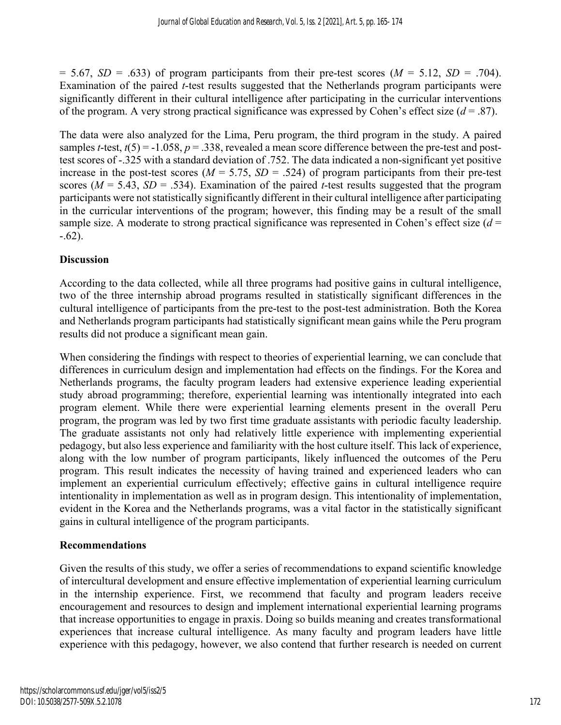$= 5.67$ , *SD* = .633) of program participants from their pre-test scores (*M* = 5.12, *SD* = .704). Examination of the paired *t*-test results suggested that the Netherlands program participants were significantly different in their cultural intelligence after participating in the curricular interventions of the program. A very strong practical significance was expressed by Cohen's effect size  $(d = .87)$ .

The data were also analyzed for the Lima, Peru program, the third program in the study. A paired samples *t*-test,  $t(5) = -1.058$ ,  $p = .338$ , revealed a mean score difference between the pre-test and posttest scores of -.325 with a standard deviation of .752. The data indicated a non-significant yet positive increase in the post-test scores ( $M = 5.75$ ,  $SD = .524$ ) of program participants from their pre-test scores ( $M = 5.43$ ,  $SD = .534$ ). Examination of the paired *t*-test results suggested that the program participants were not statistically significantly different in their cultural intelligence after participating in the curricular interventions of the program; however, this finding may be a result of the small sample size. A moderate to strong practical significance was represented in Cohen's effect size  $(d =$  $-.62$ ).

#### **Discussion**

According to the data collected, while all three programs had positive gains in cultural intelligence, two of the three internship abroad programs resulted in statistically significant differences in the cultural intelligence of participants from the pre-test to the post-test administration. Both the Korea and Netherlands program participants had statistically significant mean gains while the Peru program results did not produce a significant mean gain.

When considering the findings with respect to theories of experiential learning, we can conclude that differences in curriculum design and implementation had effects on the findings. For the Korea and Netherlands programs, the faculty program leaders had extensive experience leading experiential study abroad programming; therefore, experiential learning was intentionally integrated into each program element. While there were experiential learning elements present in the overall Peru program, the program was led by two first time graduate assistants with periodic faculty leadership. The graduate assistants not only had relatively little experience with implementing experiential pedagogy, but also less experience and familiarity with the host culture itself. This lack of experience, along with the low number of program participants, likely influenced the outcomes of the Peru program. This result indicates the necessity of having trained and experienced leaders who can implement an experiential curriculum effectively; effective gains in cultural intelligence require intentionality in implementation as well as in program design. This intentionality of implementation, evident in the Korea and the Netherlands programs, was a vital factor in the statistically significant gains in cultural intelligence of the program participants.

#### **Recommendations**

Given the results of this study, we offer a series of recommendations to expand scientific knowledge of intercultural development and ensure effective implementation of experiential learning curriculum in the internship experience. First, we recommend that faculty and program leaders receive encouragement and resources to design and implement international experiential learning programs that increase opportunities to engage in praxis. Doing so builds meaning and creates transformational experiences that increase cultural intelligence. As many faculty and program leaders have little experience with this pedagogy, however, we also contend that further research is needed on current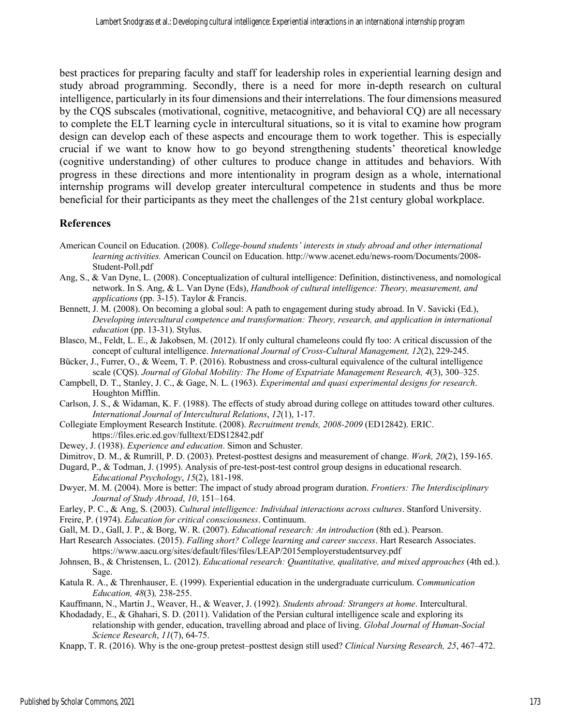best practices for preparing faculty and staff for leadership roles in experiential learning design and study abroad programming. Secondly, there is a need for more in-depth research on cultural intelligence, particularly in its four dimensions and their interrelations. The four dimensions measured by the CQS subscales (motivational, cognitive, metacognitive, and behavioral CQ) are all necessary to complete the ELT learning cycle in intercultural situations, so it is vital to examine how program design can develop each of these aspects and encourage them to work together. This is especially crucial if we want to know how to go beyond strengthening students' theoretical knowledge (cognitive understanding) of other cultures to produce change in attitudes and behaviors. With progress in these directions and more intentionality in program design as a whole, international internship programs will develop greater intercultural competence in students and thus be more beneficial for their participants as they meet the challenges of the 21st century global workplace.

#### **References**

- American Council on Education. (2008). *College-bound students' interests in study abroad and other international learning activities.* American Council on Education. http://www.acenet.edu/news-room/Documents/2008- Student-Poll.pdf
- Ang, S., & Van Dyne, L. (2008). Conceptualization of cultural intelligence: Definition, distinctiveness, and nomological network. In S. Ang, & L. Van Dyne (Eds), *Handbook of cultural intelligence: Theory, measurement, and applications* (pp. 3-15). Taylor & Francis.
- Bennett, J. M. (2008). On becoming a global soul: A path to engagement during study abroad. In V. Savicki (Ed.), *Developing intercultural competence and transformation: Theory, research, and application in international education* (pp. 13-31). Stylus.
- Blasco, M., Feldt, L. E., & Jakobsen, M. (2012). If only cultural chameleons could fly too: A critical discussion of the concept of cultural intelligence. *International Journal of Cross-Cultural Management, 12*(2), 229-245.
- Bücker, J., Furrer, O., & Weem, T. P. (2016). Robustness and cross-cultural equivalence of the cultural intelligence scale (CQS). *Journal of Global Mobility: The Home of Expatriate Management Research, 4*(3), 300–325.
- Campbell, D. T., Stanley, J. C., & Gage, N. L. (1963). *Experimental and quasi experimental designs for research*. Houghton Mifflin.
- Carlson, J. S., & Widaman, K. F. (1988). The effects of study abroad during college on attitudes toward other cultures. *International Journal of Intercultural Relations*, *12*(1), 1-17.
- Collegiate Employment Research Institute. (2008). *Recruitment trends, 2008-2009* (ED12842). ERIC. https://files.eric.ed.gov/fulltext/EDS12842.pdf
- Dewey, J. (1938). *Experience and education*. Simon and Schuster.
- Dimitrov, D. M., & Rumrill, P. D. (2003). Pretest-posttest designs and measurement of change. *Work, 20*(2), 159-165.
- Dugard, P., & Todman, J. (1995). Analysis of pre-test-post-test control group designs in educational research. *Educational Psychology*, *15*(2), 181-198.
- Dwyer, M. M. (2004). More is better: The impact of study abroad program duration. *Frontiers: The Interdisciplinary Journal of Study Abroad*, *10*, 151–164.
- Earley, P. C., & Ang, S. (2003). *Cultural intelligence: Individual interactions across cultures*. Stanford University.
- Freire, P. (1974). *Education for critical consciousness*. Continuum.
- Gall, M. D., Gall, J. P., & Borg, W. R. (2007). *Educational research: An introduction* (8th ed.). Pearson.
- Hart Research Associates. (2015). *Falling short? College learning and career success*. Hart Research Associates. https://www.aacu.org/sites/default/files/files/LEAP/2015employerstudentsurvey.pdf
- Johnsen, B., & Christensen, L. (2012). *Educational research: Quantitative, qualitative, and mixed approaches* (4th ed.). Sage.
- Katula R. A., & Threnhauser, E. (1999). Experiential education in the undergraduate curriculum. *Communication Education, 48*(3)*,* 238-255.
- Kauffmann, N., Martin J., Weaver, H., & Weaver, J. (1992). *Students abroad: Strangers at home*. Intercultural.
- Khodadady, E., & Ghahari, S. D. (2011). Validation of the Persian cultural intelligence scale and exploring its relationship with gender, education, travelling abroad and place of living. *Global Journal of Human-Social Science Research*, *11*(7), 64-75.
- Knapp, T. R. (2016). Why is the one-group pretest–posttest design still used? *Clinical Nursing Research, 25*, 467–472.